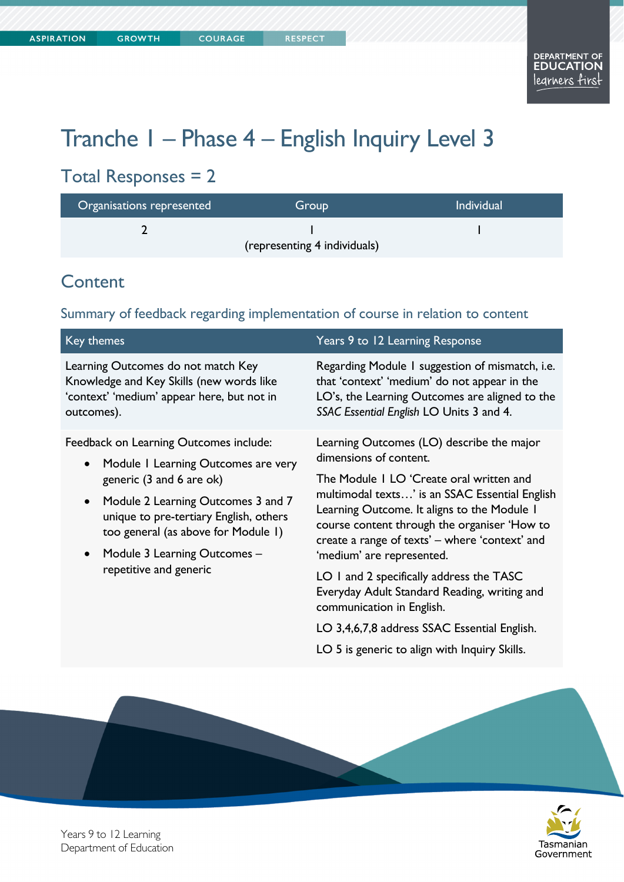# Tranche 1 – Phase 4 – English Inquiry Level 3

## Total Responses = 2

| Organisations represented    | <b>Group</b> | <b>Individual</b> |  |
|------------------------------|--------------|-------------------|--|
|                              |              |                   |  |
| (representing 4 individuals) |              |                   |  |

## **Content**

Summary of feedback regarding implementation of course in relation to content

| Key themes                                                                                                                                                                                                                                                                                                                        | Years 9 to 12 Learning Response                                                                                                                                                                                                                                                                                                                                                                                                                                                                                                                                           |  |
|-----------------------------------------------------------------------------------------------------------------------------------------------------------------------------------------------------------------------------------------------------------------------------------------------------------------------------------|---------------------------------------------------------------------------------------------------------------------------------------------------------------------------------------------------------------------------------------------------------------------------------------------------------------------------------------------------------------------------------------------------------------------------------------------------------------------------------------------------------------------------------------------------------------------------|--|
| Learning Outcomes do not match Key<br>Knowledge and Key Skills (new words like<br>'context' 'medium' appear here, but not in<br>outcomes).                                                                                                                                                                                        | Regarding Module 1 suggestion of mismatch, i.e.<br>that 'context' 'medium' do not appear in the<br>LO's, the Learning Outcomes are aligned to the<br>SSAC Essential English LO Units 3 and 4.                                                                                                                                                                                                                                                                                                                                                                             |  |
| Feedback on Learning Outcomes include:<br>Module I Learning Outcomes are very<br>$\bullet$<br>generic (3 and 6 are ok)<br>Module 2 Learning Outcomes 3 and 7<br>$\bullet$<br>unique to pre-tertiary English, others<br>too general (as above for Module I)<br>Module 3 Learning Outcomes -<br>$\bullet$<br>repetitive and generic | Learning Outcomes (LO) describe the major<br>dimensions of content.<br>The Module I LO 'Create oral written and<br>multimodal texts' is an SSAC Essential English<br>Learning Outcome. It aligns to the Module I<br>course content through the organiser 'How to<br>create a range of texts' – where 'context' and<br>'medium' are represented.<br>LO 1 and 2 specifically address the TASC<br>Everyday Adult Standard Reading, writing and<br>communication in English.<br>LO 3,4,6,7,8 address SSAC Essential English.<br>LO 5 is generic to align with Inquiry Skills. |  |
|                                                                                                                                                                                                                                                                                                                                   |                                                                                                                                                                                                                                                                                                                                                                                                                                                                                                                                                                           |  |



Years 9 to 12 Learning Department of Education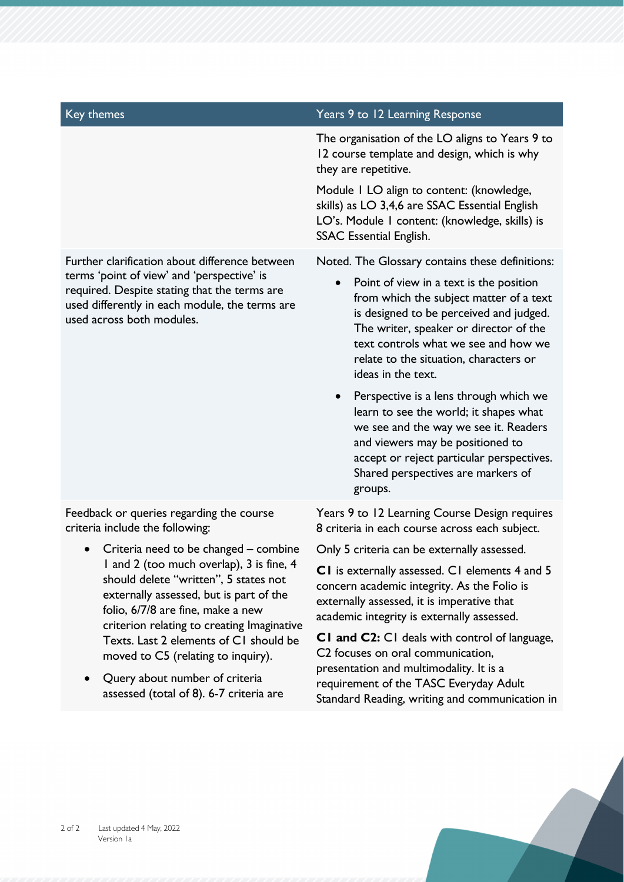Further clarification about difference between terms 'point of view' and 'perspective' is required. Despite stating that the terms are used differently in each module, the terms are used across both modules.

Feedback or queries regarding the course criteria include the following:

- Criteria need to be changed combine 1 and 2 (too much overlap), 3 is fine, 4 should delete "written", 5 states not externally assessed, but is part of the folio, 6/7/8 are fine, make a new criterion relating to creating Imaginative Texts. Last 2 elements of C1 should be moved to C5 (relating to inquiry).
- Query about number of criteria assessed (total of 8). 6-7 criteria are

#### Key themes Years 9 to 12 Learning Response

The organisation of the LO aligns to Years 9 to 12 course template and design, which is why they are repetitive.

Module 1 LO align to content: (knowledge, skills) as LO 3,4,6 are SSAC Essential English LO's. Module 1 content: (knowledge, skills) is SSAC Essential English.

Noted. The Glossary contains these definitions:

- Point of view in a text is the position from which the subject matter of a text is designed to be perceived and judged. The writer, speaker or director of the text controls what we see and how we relate to the situation, characters or ideas in the text.
- Perspective is a lens through which we learn to see the world; it shapes what we see and the way we see it. Readers and viewers may be positioned to accept or reject particular perspectives. Shared perspectives are markers of groups.

Years 9 to 12 Learning Course Design requires 8 criteria in each course across each subject.

Only 5 criteria can be externally assessed.

**C1** is externally assessed. C1 elements 4 and 5 concern academic integrity. As the Folio is externally assessed, it is imperative that academic integrity is externally assessed.

**C1 and C2:** C1 deals with control of language, C2 focuses on oral communication, presentation and multimodality. It is a requirement of the TASC Everyday Adult Standard Reading, writing and communication in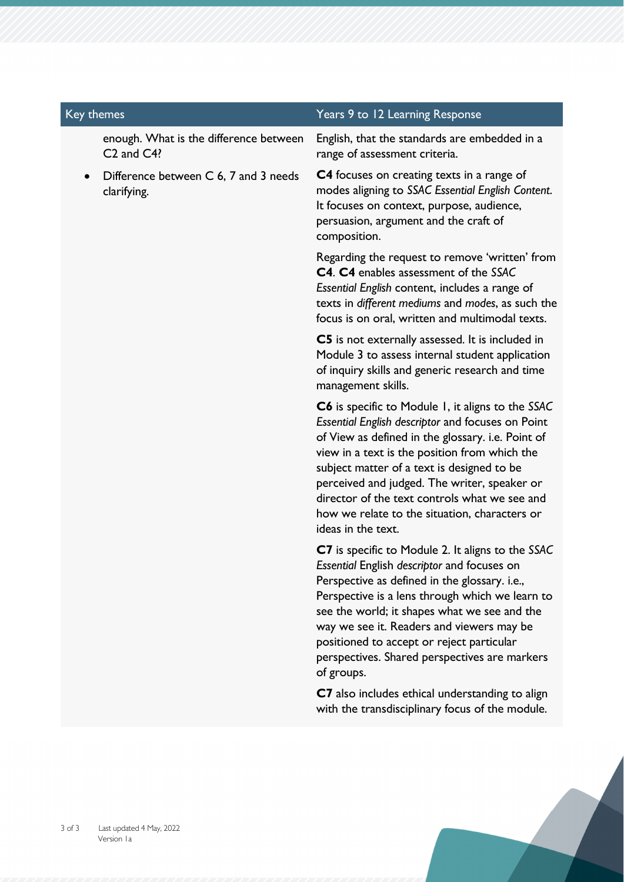| Key themes |  |                                                           | Years 9 to 12 Learning Response                                                                                                                                                                                                                          |  |
|------------|--|-----------------------------------------------------------|----------------------------------------------------------------------------------------------------------------------------------------------------------------------------------------------------------------------------------------------------------|--|
|            |  | enough. What is the difference between<br>$C2$ and $C4$ ? | English, that the standards are embedded in a<br>range of assessment criteria.                                                                                                                                                                           |  |
|            |  | Difference between C 6, 7 and 3 needs<br>clarifying.      | <b>C4</b> focuses on creating texts in a range of<br>modes aligning to SSAC Essential English Content.<br>It focuses on context, purpose, audience,<br>persuasion, argument and the craft of<br>composition.                                             |  |
|            |  |                                                           | Regarding the request to remove 'written' from<br><b>C4. C4</b> enables assessment of the SSAC<br>Essential English content, includes a range of<br>texts in different mediums and modes, as such the<br>focus is on oral, written and multimodal texts. |  |
|            |  |                                                           | C5 is not externally assessed. It is included in<br>Module 3 to assess internal student application                                                                                                                                                      |  |

management skills.

**C6** is specific to Module 1, it aligns to the *SSAC Essential English descriptor* and focuses on Point of View as defined in the glossary. i.e. Point of view in a text is the position from which the subject matter of a text is designed to be perceived and judged. The writer, speaker or director of the text controls what we see and how we relate to the situation, characters or ideas in the text.

of inquiry skills and generic research and time

**C7** is specific to Module 2. It aligns to the *SSAC Essential* English *descriptor* and focuses on Perspective as defined in the glossary. i.e., Perspective is a lens through which we learn to see the world; it shapes what we see and the way we see it. Readers and viewers may be positioned to accept or reject particular perspectives. Shared perspectives are markers of groups.

**C7** also includes ethical understanding to align with the transdisciplinary focus of the module.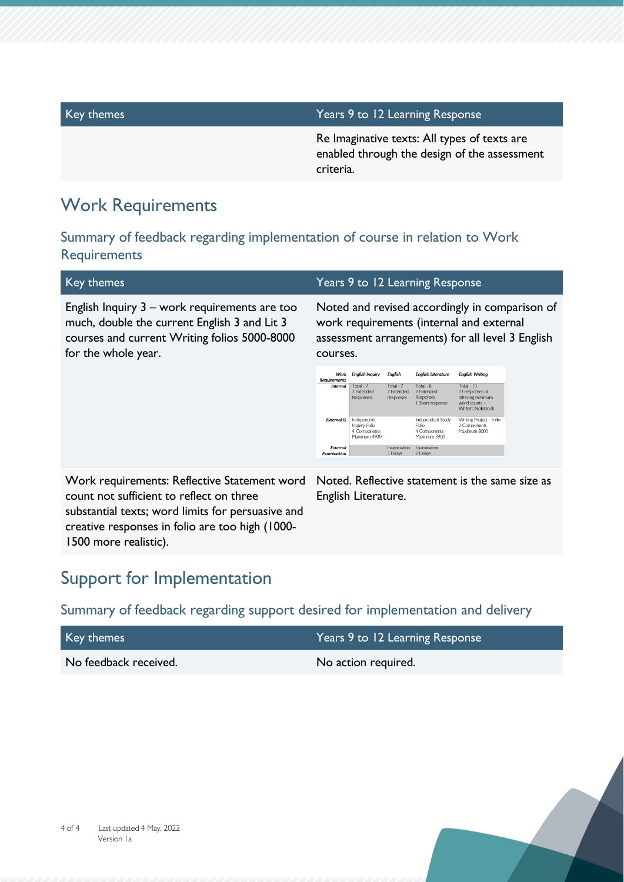| Key themes | Years 9 to 12 Learning Response                                                                           |
|------------|-----------------------------------------------------------------------------------------------------------|
|            | Re Imaginative texts: All types of texts are<br>enabled through the design of the assessment<br>criteria. |
|            |                                                                                                           |

## Work Requirements

Summary of feedback regarding implementation of course in relation to Work **Requirements** 

| Key themes                                                                                                                                                           |                                |                                                                                                                                                            |                                      | Years 9 to 12 Learning Response                            |                                                                                                  |  |
|----------------------------------------------------------------------------------------------------------------------------------------------------------------------|--------------------------------|------------------------------------------------------------------------------------------------------------------------------------------------------------|--------------------------------------|------------------------------------------------------------|--------------------------------------------------------------------------------------------------|--|
| English Inquiry 3 - work requirements are too<br>much, double the current English 3 and Lit 3<br>courses and current Writing folios 5000-8000<br>for the whole year. |                                | Noted and revised accordingly in comparison of<br>work requirements (internal and external<br>assessment arrangements) for all level 3 English<br>courses. |                                      |                                                            |                                                                                                  |  |
|                                                                                                                                                                      | Requirements                   | Work English Inquiry                                                                                                                                       | <b>English</b>                       | <b>English Literature</b>                                  | <b>English Writing</b>                                                                           |  |
|                                                                                                                                                                      | <b>Internal</b>                | Total - 7<br>7 Extended<br>Responses                                                                                                                       | Total - 7<br>7 Extended<br>Responses | Total - 8<br>7 Extended<br>Responses<br>I Short response   | Total - $13$<br>13 responses of<br>differing minimum<br>word counts +<br><b>Writers Notebook</b> |  |
|                                                                                                                                                                      | <b>External IS</b>             | Independent<br>Inquiry-Folio<br>4-Components<br>Maximum 4900                                                                                               |                                      | Independent Study<br>Folio<br>4 Components<br>Maximum 3900 | Writing Project - Folio<br>2 Components<br>Maximum 8000                                          |  |
|                                                                                                                                                                      | External<br><b>Examination</b> |                                                                                                                                                            | Examination<br>3 Essays              | Examination<br>2 Essays                                    |                                                                                                  |  |
| Work requirements: Reflective Statement word<br>count not sufficient to reflect on three<br>substantial texts; word limits for persuasive and                        |                                | English Literature.                                                                                                                                        |                                      |                                                            | Noted. Reflective statement is the same size as                                                  |  |

## Support for Implementation

1500 more realistic).

creative responses in folio are too high (1000-

Summary of feedback regarding support desired for implementation and delivery

| Key themes            | Years 9 to 12 Learning Response |
|-----------------------|---------------------------------|
| No feedback received. | No action required.             |